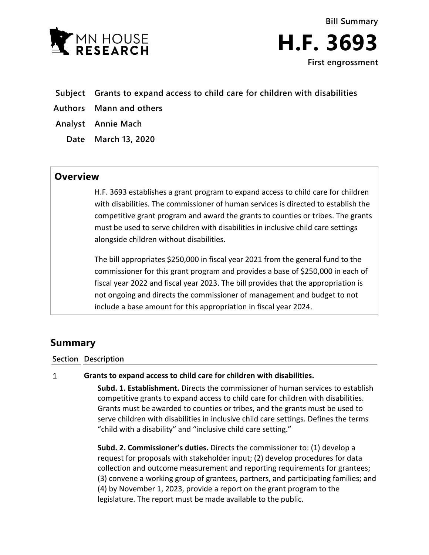



- **Subject Grants to expand access to child care for children with disabilities**
- **Authors Mann and others**
- **Analyst Annie Mach**
	- **Date March 13, 2020**

## **Overview**

H.F. 3693 establishes a grant program to expand access to child care for children with disabilities. The commissioner of human services is directed to establish the competitive grant program and award the grants to counties or tribes. The grants must be used to serve children with disabilities in inclusive child care settings alongside children without disabilities.

The bill appropriates \$250,000 in fiscal year 2021 from the general fund to the commissioner for this grant program and provides a base of \$250,000 in each of fiscal year 2022 and fiscal year 2023. The bill provides that the appropriation is not ongoing and directs the commissioner of management and budget to not include a base amount for this appropriation in fiscal year 2024.

# **Summary**

### **Section Description**

#### $\mathbf{1}$ **Grants to expand access to child care for children with disabilities.**

**Subd. 1. Establishment.** Directs the commissioner of human services to establish competitive grants to expand access to child care for children with disabilities. Grants must be awarded to counties or tribes, and the grants must be used to serve children with disabilities in inclusive child care settings. Defines the terms "child with a disability" and "inclusive child care setting."

**Subd. 2. Commissioner's duties.** Directs the commissioner to: (1) develop a request for proposals with stakeholder input; (2) develop procedures for data collection and outcome measurement and reporting requirements for grantees; (3) convene a working group of grantees, partners, and participating families; and (4) by November 1, 2023, provide a report on the grant program to the legislature. The report must be made available to the public.